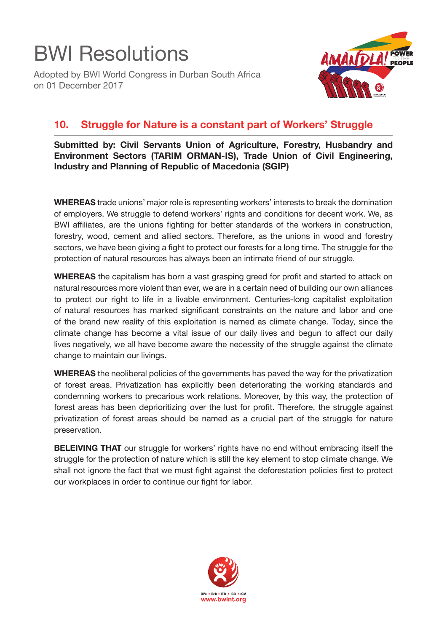

Adopted by BWI World Congress in Durban South Africa on 01 December 2017



## **10. Struggle for Nature is a constant part of Workers' Struggle**

**Submitted by: Civil Servants Union of Agriculture, Forestry, Husbandry and Environment Sectors (TARIM ORMAN-IS), Trade Union of Civil Engineering, Industry and Planning of Republic of Macedonia (SGIP)**

**WHEREAS** trade unions' major role is representing workers' interests to break the domination of employers. We struggle to defend workers' rights and conditions for decent work. We, as BWI affiliates, are the unions fighting for better standards of the workers in construction, forestry, wood, cement and allied sectors. Therefore, as the unions in wood and forestry sectors, we have been giving a fight to protect our forests for a long time. The struggle for the protection of natural resources has always been an intimate friend of our struggle.

**WHEREAS** the capitalism has born a vast grasping greed for profit and started to attack on natural resources more violent than ever, we are in a certain need of building our own alliances to protect our right to life in a livable environment. Centuries-long capitalist exploitation of natural resources has marked significant constraints on the nature and labor and one of the brand new reality of this exploitation is named as climate change. Today, since the climate change has become a vital issue of our daily lives and begun to affect our daily lives negatively, we all have become aware the necessity of the struggle against the climate change to maintain our livings.

**WHEREAS** the neoliberal policies of the governments has paved the way for the privatization of forest areas. Privatization has explicitly been deteriorating the working standards and condemning workers to precarious work relations. Moreover, by this way, the protection of forest areas has been deprioritizing over the lust for profit. Therefore, the struggle against privatization of forest areas should be named as a crucial part of the struggle for nature preservation.

**BELEIVING THAT** our struggle for workers' rights have no end without embracing itself the struggle for the protection of nature which is still the key element to stop climate change. We shall not ignore the fact that we must fight against the deforestation policies first to protect our workplaces in order to continue our fight for labor.